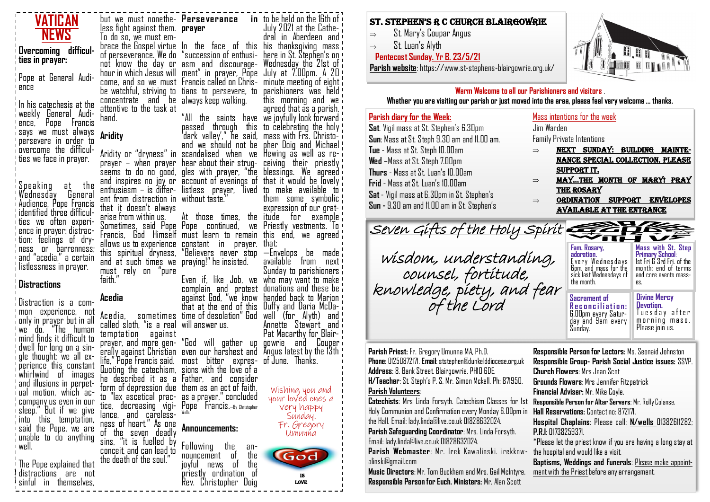

# St. Stephen'S R C ChuRCh BlaiRgowRie

 $\Rightarrow$  St. Mary's Coupar Angus

 $\Rightarrow$  St. Luan's Alyth

#### **Pentecost Sunday. Yr B. 23/5/21**

**Parish website**: https://www.st-stephens-blairgowrie.org.uk/



**Warm Welcome to all our Parishioners and visitors** .

**Whether you are visiting our parish or just moved into the area, please feel very welcome … thanks.**

## **Parish diary for the Week: Sat**. Vigil mass at St. Stephen's 6.30pm

**Sun**: Mass at St. Steph 9.30 am and 11.00 am. **Tue** - Mass at St. Steph 10.00am **Wed** – Mass at St. Steph 7.00pm **Thurs** - Mass at St. Luan's 10.00am **Frid** - Mass at St. Luan's 10.00am **Sat** - Vigil mass at 6.30pm in St. Stephen's **Sun -** 9.30 am and 11.00 am in St. Stephen's

#### Mass intentions for the week

Jim Warden Family Private Intentions

- $\Rightarrow$  NEXT SUNDAY: BUILDING MAINTEnance special collection. Please support it.
- $\Rightarrow$  MAY...THE MONTH OF MARY! PRAY the rosary
- $\Rightarrow$  ORDINATION SUPPORT ENVELOPES available at the entrance

## **Fam. Rosary, adoration. Mass with St. Step Primary School**: Seven Gifts of the Holy Spirit wisdom, understanding,

counsel, fortitude, knowledge, piety, and fear of the Lord

| ram. Kosary,<br>adoration.<br>Every Wednesdays<br>Gpm, and mass for the<br>sick last Wednesdays of<br>the month. | MASS WILD SL. STEP<br><b>Primary School:</b><br>1st Fri & 3rd Fri. of the<br>month: end of terms<br>and core events mass-<br>es. |
|------------------------------------------------------------------------------------------------------------------|----------------------------------------------------------------------------------------------------------------------------------|
| Sacrament of                                                                                                     | <b>Divine Mercy</b>                                                                                                              |
| Reconciliation-                                                                                                  | Devotion.                                                                                                                        |

**Devotion. R e c o n c i l i a t i o n :**  6.00pm every Saturday and 9am every Sunday.

Tues day after morning mass. Please join us.

**Parish Priest:** Fr. Gregory Umunna MA, Ph.D. **Phone:** 01250872171. **Email**: ststephen@dunkelddiocese.org.uk **Address**: 8, Bank Street, Blairgowrie, PH10 6DE. **H/Teacher**: St. Steph's P. S. Mr. Simon Mckell. Ph: 871950. **Parish Volunteers**:

**Catechists**: Mrs Linda Forsyth. Catechism Classes for 1st Holy Communion and Confirmation every Monday 6.00pm in the Hall. Email: lady.linda@live.co.uk 01828632024.

**Parish Safeguarding Coordinator**: Mrs. Linda Forsyth. Email: lady.linda@live.co.uk 01828632024.

**Parish Webmaster**: Mr. Irek Kawalinski. irekkowalinski@gmail.com

**Responsible Person for Euch. Ministers:** Mr. Alan Scottish Charity No: 2008. In the United Scottish Charity No: 2008. Also be a stephen of Dunkeld Scottish Charity No: 2008. In the United Scottish Charity Of Dunkeld Scott **Music Directors**: Mr. Tom Buckham and Mrs. Gail McIntyre.

**Responsible Person for Lectors:** Ms. Seonaid Johnston **Responsible Group- Parish Social Justice issues:** SSVP. **Church Flowers**: Mrs Jean Scot **Grounds Flowers**: Mrs Jennifer Fitzpatrick **Financial Adviser:** Mr. Mike Coyle. **Responsible Person for Altar Servers**: Mr. Rolly Colanse. **Hall Reservations:** Contact no: 872171. **Hospital Chaplains**: Please call: **N/wells** 01382611282; **P.R.I**: 01738259371. \*Please let the priest know if you are having a long stay at the hospital and would like a visit.

**Baptisms, Weddings and Funerals**: Please make appointment with the Priest before any arrangement.